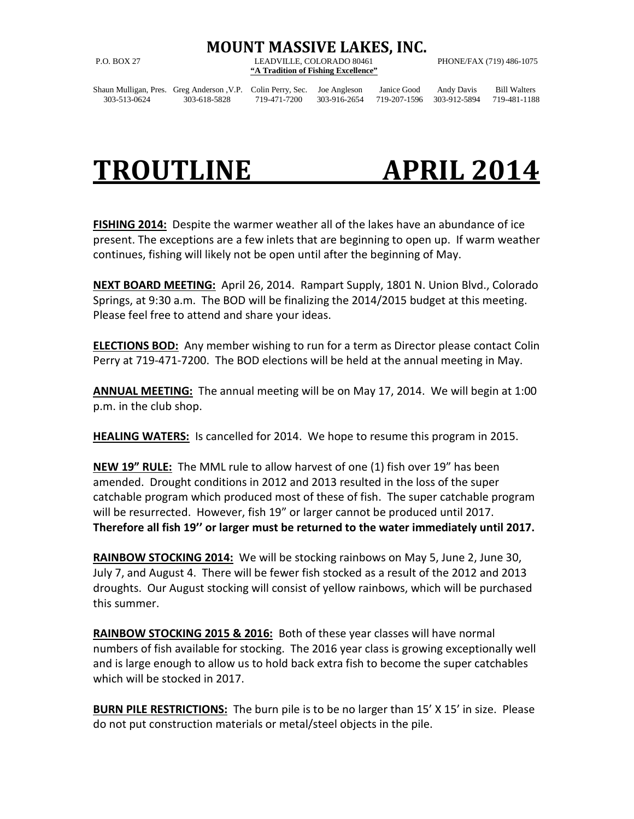## **MOUNT MASSIVE LAKES, INC.**

P.O. BOX 27 LEADVILLE, COLORADO 80461 PHONE/FAX (719) 486-1075 **"A Tradition of Fishing Excellence"**

Shaun Mulligan, Pres. Greg Anderson ,V.P. Colin Perry, Sec. Joe Angleson Janice Good Andy Davis Bill Walters 303-513-0624 303-618-5828 719-471-7200 303-916-2654 719-207-1596 303-912-5894 719-481-1188

## **TROUTLINE APRIL 2014**

**FISHING 2014:** Despite the warmer weather all of the lakes have an abundance of ice present. The exceptions are a few inlets that are beginning to open up. If warm weather continues, fishing will likely not be open until after the beginning of May.

**NEXT BOARD MEETING:** April 26, 2014. Rampart Supply, 1801 N. Union Blvd., Colorado Springs, at 9:30 a.m. The BOD will be finalizing the 2014/2015 budget at this meeting. Please feel free to attend and share your ideas.

**ELECTIONS BOD:** Any member wishing to run for a term as Director please contact Colin Perry at 719-471-7200. The BOD elections will be held at the annual meeting in May.

**ANNUAL MEETING:** The annual meeting will be on May 17, 2014. We will begin at 1:00 p.m. in the club shop.

**HEALING WATERS:** Is cancelled for 2014. We hope to resume this program in 2015.

**NEW 19" RULE:** The MML rule to allow harvest of one (1) fish over 19" has been amended. Drought conditions in 2012 and 2013 resulted in the loss of the super catchable program which produced most of these of fish. The super catchable program will be resurrected. However, fish 19" or larger cannot be produced until 2017. **Therefore all fish 19'' or larger must be returned to the water immediately until 2017.**

**RAINBOW STOCKING 2014:** We will be stocking rainbows on May 5, June 2, June 30, July 7, and August 4. There will be fewer fish stocked as a result of the 2012 and 2013 droughts. Our August stocking will consist of yellow rainbows, which will be purchased this summer.

**RAINBOW STOCKING 2015 & 2016:** Both of these year classes will have normal numbers of fish available for stocking. The 2016 year class is growing exceptionally well and is large enough to allow us to hold back extra fish to become the super catchables which will be stocked in 2017.

**BURN PILE RESTRICTIONS:** The burn pile is to be no larger than 15' X 15' in size. Please do not put construction materials or metal/steel objects in the pile.